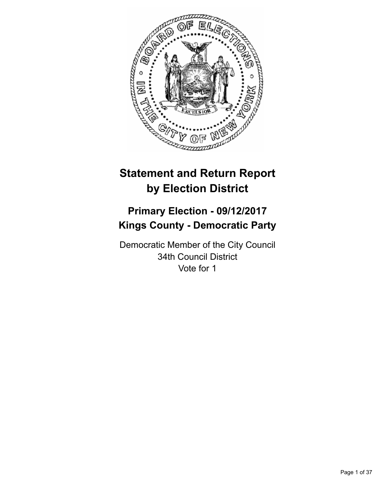

# **Statement and Return Report by Election District**

# **Primary Election - 09/12/2017 Kings County - Democratic Party**

Democratic Member of the City Council 34th Council District Vote for 1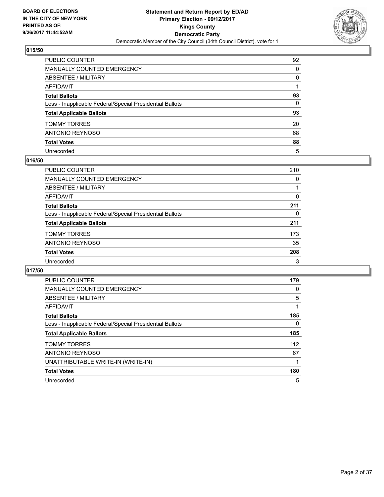

| PUBLIC COUNTER                                           | 92           |
|----------------------------------------------------------|--------------|
| <b>MANUALLY COUNTED EMERGENCY</b>                        | $\mathbf{0}$ |
| <b>ABSENTEE / MILITARY</b>                               | $\mathbf{0}$ |
| AFFIDAVIT                                                |              |
| <b>Total Ballots</b>                                     | 93           |
| Less - Inapplicable Federal/Special Presidential Ballots | $\mathbf{0}$ |
| <b>Total Applicable Ballots</b>                          | 93           |
| <b>TOMMY TORRES</b>                                      | 20           |
| <b>ANTONIO REYNOSO</b>                                   | 68           |
| <b>Total Votes</b>                                       | 88           |
| Unrecorded                                               | 5            |

## **016/50**

| <b>PUBLIC COUNTER</b>                                    | 210 |
|----------------------------------------------------------|-----|
| MANUALLY COUNTED EMERGENCY                               | 0   |
| ABSENTEE / MILITARY                                      |     |
| AFFIDAVIT                                                | 0   |
| <b>Total Ballots</b>                                     | 211 |
| Less - Inapplicable Federal/Special Presidential Ballots | 0   |
| <b>Total Applicable Ballots</b>                          | 211 |
| <b>TOMMY TORRES</b>                                      | 173 |
| ANTONIO REYNOSO                                          | 35  |
| <b>Total Votes</b>                                       | 208 |
| Unrecorded                                               | 3   |

| <b>PUBLIC COUNTER</b>                                    | 179 |
|----------------------------------------------------------|-----|
| <b>MANUALLY COUNTED EMERGENCY</b>                        | 0   |
| <b>ABSENTEE / MILITARY</b>                               | 5   |
| <b>AFFIDAVIT</b>                                         |     |
| <b>Total Ballots</b>                                     | 185 |
| Less - Inapplicable Federal/Special Presidential Ballots | 0   |
| <b>Total Applicable Ballots</b>                          | 185 |
| <b>TOMMY TORRES</b>                                      | 112 |
| <b>ANTONIO REYNOSO</b>                                   | 67  |
| UNATTRIBUTABLE WRITE-IN (WRITE-IN)                       |     |
| <b>Total Votes</b>                                       | 180 |
| Unrecorded                                               | 5   |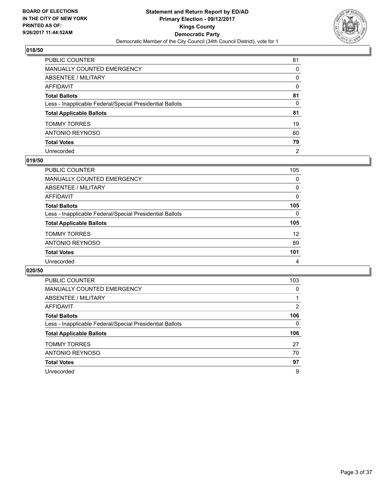

| PUBLIC COUNTER                                           | 81             |
|----------------------------------------------------------|----------------|
| <b>MANUALLY COUNTED EMERGENCY</b>                        | $\Omega$       |
| <b>ABSENTEE / MILITARY</b>                               | $\mathbf{0}$   |
| AFFIDAVIT                                                | $\Omega$       |
| <b>Total Ballots</b>                                     | 81             |
| Less - Inapplicable Federal/Special Presidential Ballots | 0              |
| <b>Total Applicable Ballots</b>                          | 81             |
| <b>TOMMY TORRES</b>                                      | 19             |
| ANTONIO REYNOSO                                          | 60             |
| <b>Total Votes</b>                                       | 79             |
| Unrecorded                                               | $\overline{2}$ |

#### **019/50**

| <b>PUBLIC COUNTER</b>                                    | 105 |
|----------------------------------------------------------|-----|
| <b>MANUALLY COUNTED EMERGENCY</b>                        | 0   |
| ABSENTEE / MILITARY                                      | 0   |
| AFFIDAVIT                                                | 0   |
| <b>Total Ballots</b>                                     | 105 |
| Less - Inapplicable Federal/Special Presidential Ballots | 0   |
| <b>Total Applicable Ballots</b>                          | 105 |
| <b>TOMMY TORRES</b>                                      | 12  |
| <b>ANTONIO REYNOSO</b>                                   | 89  |
| <b>Total Votes</b>                                       | 101 |
| Unrecorded                                               | 4   |

| <b>PUBLIC COUNTER</b>                                    | 103 |
|----------------------------------------------------------|-----|
| <b>MANUALLY COUNTED EMERGENCY</b>                        | 0   |
| ABSENTEE / MILITARY                                      |     |
| <b>AFFIDAVIT</b>                                         | 2   |
| <b>Total Ballots</b>                                     | 106 |
| Less - Inapplicable Federal/Special Presidential Ballots | 0   |
| <b>Total Applicable Ballots</b>                          | 106 |
| <b>TOMMY TORRES</b>                                      | 27  |
| <b>ANTONIO REYNOSO</b>                                   | 70  |
| <b>Total Votes</b>                                       | 97  |
| Unrecorded                                               | 9   |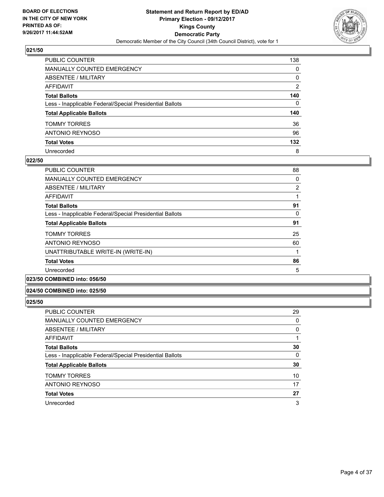

| PUBLIC COUNTER                                           | 138          |
|----------------------------------------------------------|--------------|
| <b>MANUALLY COUNTED EMERGENCY</b>                        | 0            |
| <b>ABSENTEE / MILITARY</b>                               | 0            |
| AFFIDAVIT                                                | 2            |
| <b>Total Ballots</b>                                     | 140          |
| Less - Inapplicable Federal/Special Presidential Ballots | $\mathbf{0}$ |
| <b>Total Applicable Ballots</b>                          | 140          |
| <b>TOMMY TORRES</b>                                      | 36           |
| ANTONIO REYNOSO                                          | 96           |
| <b>Total Votes</b>                                       | 132          |
| Unrecorded                                               | 8            |

## **022/50**

| <b>PUBLIC COUNTER</b>                                    | 88             |
|----------------------------------------------------------|----------------|
| <b>MANUALLY COUNTED EMERGENCY</b>                        | 0              |
| ABSENTEE / MILITARY                                      | $\overline{2}$ |
| AFFIDAVIT                                                |                |
| <b>Total Ballots</b>                                     | 91             |
| Less - Inapplicable Federal/Special Presidential Ballots | 0              |
| <b>Total Applicable Ballots</b>                          | 91             |
| <b>TOMMY TORRES</b>                                      | 25             |
| ANTONIO REYNOSO                                          | 60             |
| UNATTRIBUTABLE WRITE-IN (WRITE-IN)                       |                |
| <b>Total Votes</b>                                       | 86             |
| Unrecorded                                               | 5              |
|                                                          |                |

# **023/50 COMBINED into: 056/50**

## **024/50 COMBINED into: 025/50**

| <b>PUBLIC COUNTER</b>                                    | 29 |
|----------------------------------------------------------|----|
| MANUALLY COUNTED EMERGENCY                               | 0  |
| ABSENTEE / MILITARY                                      | 0  |
| AFFIDAVIT                                                |    |
| <b>Total Ballots</b>                                     | 30 |
| Less - Inapplicable Federal/Special Presidential Ballots | 0  |
| <b>Total Applicable Ballots</b>                          | 30 |
| <b>TOMMY TORRES</b>                                      | 10 |
| ANTONIO REYNOSO                                          | 17 |
| <b>Total Votes</b>                                       | 27 |
| Unrecorded                                               | 3  |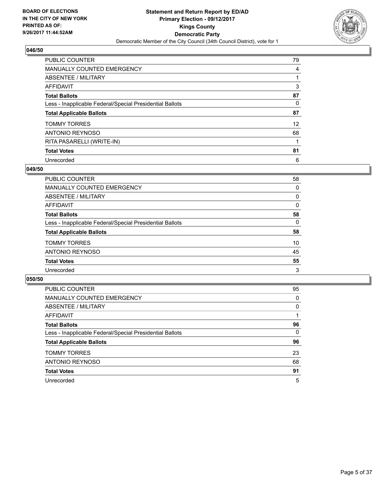

| <b>PUBLIC COUNTER</b>                                    | 79 |
|----------------------------------------------------------|----|
| <b>MANUALLY COUNTED EMERGENCY</b>                        | 4  |
| ABSENTEE / MILITARY                                      |    |
| AFFIDAVIT                                                | 3  |
| <b>Total Ballots</b>                                     | 87 |
| Less - Inapplicable Federal/Special Presidential Ballots | 0  |
| <b>Total Applicable Ballots</b>                          | 87 |
| <b>TOMMY TORRES</b>                                      | 12 |
| ANTONIO REYNOSO                                          | 68 |
| RITA PASARELLI (WRITE-IN)                                |    |
| <b>Total Votes</b>                                       | 81 |
| Unrecorded                                               | 6  |

#### **049/50**

| <b>PUBLIC COUNTER</b>                                    | 58 |
|----------------------------------------------------------|----|
| <b>MANUALLY COUNTED EMERGENCY</b>                        | 0  |
| ABSENTEE / MILITARY                                      | 0  |
| AFFIDAVIT                                                | 0  |
| <b>Total Ballots</b>                                     | 58 |
| Less - Inapplicable Federal/Special Presidential Ballots | 0  |
| <b>Total Applicable Ballots</b>                          | 58 |
| <b>TOMMY TORRES</b>                                      | 10 |
| ANTONIO REYNOSO                                          | 45 |
| <b>Total Votes</b>                                       | 55 |
| Unrecorded                                               | 3  |

| <b>PUBLIC COUNTER</b>                                    | 95 |
|----------------------------------------------------------|----|
| <b>MANUALLY COUNTED EMERGENCY</b>                        | 0  |
| ABSENTEE / MILITARY                                      | 0  |
| AFFIDAVIT                                                |    |
| <b>Total Ballots</b>                                     | 96 |
| Less - Inapplicable Federal/Special Presidential Ballots | 0  |
| <b>Total Applicable Ballots</b>                          | 96 |
| <b>TOMMY TORRES</b>                                      | 23 |
| ANTONIO REYNOSO                                          | 68 |
| <b>Total Votes</b>                                       | 91 |
| Unrecorded                                               | 5  |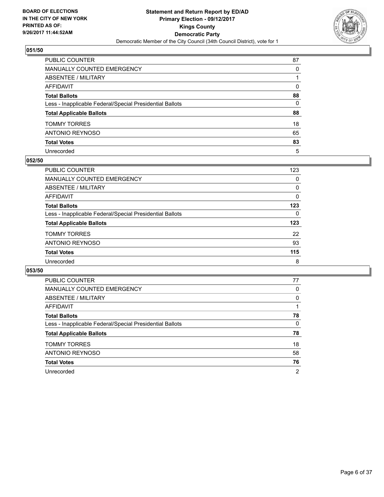

| PUBLIC COUNTER                                           | 87           |
|----------------------------------------------------------|--------------|
| MANUALLY COUNTED EMERGENCY                               | 0            |
| ABSENTEE / MILITARY                                      |              |
| AFFIDAVIT                                                | $\mathbf{0}$ |
| Total Ballots                                            | 88           |
| Less - Inapplicable Federal/Special Presidential Ballots | 0            |
| <b>Total Applicable Ballots</b>                          | 88           |
| TOMMY TORRES                                             | 18           |
| ANTONIO REYNOSO                                          | 65           |
| <b>Total Votes</b>                                       | 83           |
| Unrecorded                                               | 5            |

#### **052/50**

| <b>PUBLIC COUNTER</b>                                    | 123 |
|----------------------------------------------------------|-----|
| <b>MANUALLY COUNTED EMERGENCY</b>                        | 0   |
| ABSENTEE / MILITARY                                      | 0   |
| AFFIDAVIT                                                | 0   |
| <b>Total Ballots</b>                                     | 123 |
| Less - Inapplicable Federal/Special Presidential Ballots | 0   |
| <b>Total Applicable Ballots</b>                          | 123 |
| <b>TOMMY TORRES</b>                                      | 22  |
| ANTONIO REYNOSO                                          | 93  |
| <b>Total Votes</b>                                       | 115 |
| Unrecorded                                               | 8   |

| <b>PUBLIC COUNTER</b>                                    | 77 |
|----------------------------------------------------------|----|
| MANUALLY COUNTED EMERGENCY                               | 0  |
| ABSENTEE / MILITARY                                      | 0  |
| AFFIDAVIT                                                |    |
| <b>Total Ballots</b>                                     | 78 |
| Less - Inapplicable Federal/Special Presidential Ballots | 0  |
| <b>Total Applicable Ballots</b>                          | 78 |
| <b>TOMMY TORRES</b>                                      | 18 |
| ANTONIO REYNOSO                                          | 58 |
| <b>Total Votes</b>                                       | 76 |
| Unrecorded                                               | 2  |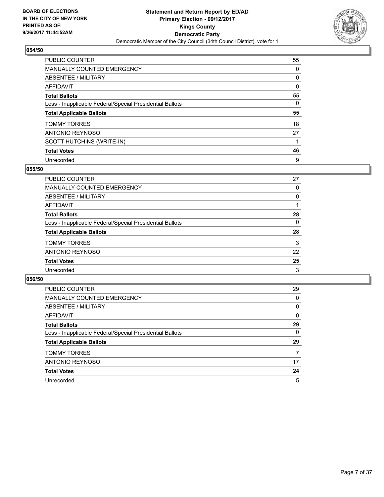

| <b>PUBLIC COUNTER</b>                                    | 55 |
|----------------------------------------------------------|----|
| <b>MANUALLY COUNTED EMERGENCY</b>                        | 0  |
| ABSENTEE / MILITARY                                      | 0  |
| AFFIDAVIT                                                | 0  |
| <b>Total Ballots</b>                                     | 55 |
| Less - Inapplicable Federal/Special Presidential Ballots | 0  |
| <b>Total Applicable Ballots</b>                          | 55 |
| <b>TOMMY TORRES</b>                                      | 18 |
| ANTONIO REYNOSO                                          | 27 |
| SCOTT HUTCHINS (WRITE-IN)                                |    |
| <b>Total Votes</b>                                       | 46 |
| Unrecorded                                               | 9  |

#### **055/50**

| PUBLIC COUNTER                                           | 27 |
|----------------------------------------------------------|----|
| MANUALLY COUNTED EMERGENCY                               | 0  |
| ABSENTEE / MILITARY                                      | 0  |
| AFFIDAVIT                                                |    |
| <b>Total Ballots</b>                                     | 28 |
| Less - Inapplicable Federal/Special Presidential Ballots | 0  |
| <b>Total Applicable Ballots</b>                          | 28 |
| <b>TOMMY TORRES</b>                                      | 3  |
| ANTONIO REYNOSO                                          | 22 |
| <b>Total Votes</b>                                       | 25 |
| Unrecorded                                               | 3  |

| PUBLIC COUNTER                                           | 29 |
|----------------------------------------------------------|----|
| <b>MANUALLY COUNTED EMERGENCY</b>                        | 0  |
| ABSENTEE / MILITARY                                      | 0  |
| AFFIDAVIT                                                | 0  |
| <b>Total Ballots</b>                                     | 29 |
| Less - Inapplicable Federal/Special Presidential Ballots | 0  |
| <b>Total Applicable Ballots</b>                          | 29 |
| <b>TOMMY TORRES</b>                                      | 7  |
| ANTONIO REYNOSO                                          | 17 |
| <b>Total Votes</b>                                       | 24 |
| Unrecorded                                               | 5  |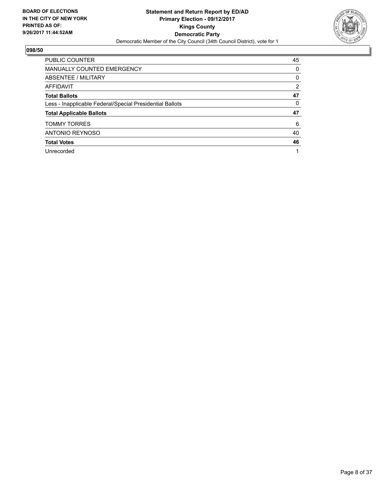

| <b>PUBLIC COUNTER</b>                                    | 45             |
|----------------------------------------------------------|----------------|
| MANUALLY COUNTED EMERGENCY                               | 0              |
| ABSENTEE / MILITARY                                      | 0              |
| AFFIDAVIT                                                | $\overline{2}$ |
| <b>Total Ballots</b>                                     | 47             |
| Less - Inapplicable Federal/Special Presidential Ballots | 0              |
| <b>Total Applicable Ballots</b>                          | 47             |
| <b>TOMMY TORRES</b>                                      | 6              |
| <b>ANTONIO REYNOSO</b>                                   | 40             |
| <b>Total Votes</b>                                       | 46             |
| Unrecorded                                               |                |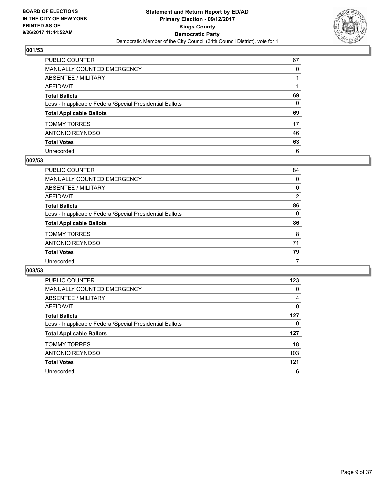

| PUBLIC COUNTER                                           | 67 |
|----------------------------------------------------------|----|
| MANUALLY COUNTED EMERGENCY                               | 0  |
| ABSENTEE / MILITARY                                      |    |
| AFFIDAVIT                                                |    |
| Total Ballots                                            | 69 |
| Less - Inapplicable Federal/Special Presidential Ballots | 0  |
| <b>Total Applicable Ballots</b>                          | 69 |
| TOMMY TORRES                                             | 17 |
| ANTONIO REYNOSO                                          | 46 |
| <b>Total Votes</b>                                       | 63 |
| Unrecorded                                               | 6  |

#### **002/53**

| PUBLIC COUNTER                                           | 84             |
|----------------------------------------------------------|----------------|
| MANUALLY COUNTED EMERGENCY                               | 0              |
| ABSENTEE / MILITARY                                      | 0              |
| AFFIDAVIT                                                | $\overline{2}$ |
| <b>Total Ballots</b>                                     | 86             |
| Less - Inapplicable Federal/Special Presidential Ballots | 0              |
| <b>Total Applicable Ballots</b>                          | 86             |
| <b>TOMMY TORRES</b>                                      | 8              |
| ANTONIO REYNOSO                                          | 71             |
| <b>Total Votes</b>                                       | 79             |
| Unrecorded                                               | 7              |

| <b>PUBLIC COUNTER</b>                                    | 123 |
|----------------------------------------------------------|-----|
| <b>MANUALLY COUNTED EMERGENCY</b>                        | 0   |
| ABSENTEE / MILITARY                                      | 4   |
| <b>AFFIDAVIT</b>                                         | 0   |
| <b>Total Ballots</b>                                     | 127 |
| Less - Inapplicable Federal/Special Presidential Ballots | 0   |
| <b>Total Applicable Ballots</b>                          | 127 |
| <b>TOMMY TORRES</b>                                      | 18  |
| <b>ANTONIO REYNOSO</b>                                   | 103 |
| <b>Total Votes</b>                                       | 121 |
| Unrecorded                                               | 6   |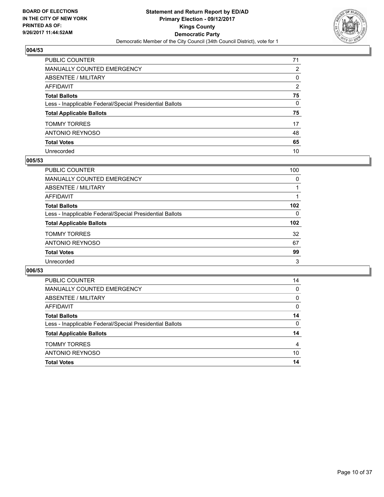

| PUBLIC COUNTER                                           | 71           |
|----------------------------------------------------------|--------------|
| <b>MANUALLY COUNTED EMERGENCY</b>                        | 2            |
| <b>ABSENTEE / MILITARY</b>                               | 0            |
| AFFIDAVIT                                                | 2            |
| <b>Total Ballots</b>                                     | 75           |
| Less - Inapplicable Federal/Special Presidential Ballots | $\mathbf{0}$ |
| <b>Total Applicable Ballots</b>                          | 75           |
| <b>TOMMY TORRES</b>                                      | 17           |
| <b>ANTONIO REYNOSO</b>                                   | 48           |
| <b>Total Votes</b>                                       | 65           |
| Unrecorded                                               | 10           |

## **005/53**

| <b>PUBLIC COUNTER</b>                                    | 100              |
|----------------------------------------------------------|------------------|
| MANUALLY COUNTED EMERGENCY                               | 0                |
| ABSENTEE / MILITARY                                      |                  |
| AFFIDAVIT                                                |                  |
| <b>Total Ballots</b>                                     | 102 <sub>2</sub> |
| Less - Inapplicable Federal/Special Presidential Ballots | 0                |
| <b>Total Applicable Ballots</b>                          | 102              |
| <b>TOMMY TORRES</b>                                      | 32               |
| ANTONIO REYNOSO                                          | 67               |
| <b>Total Votes</b>                                       | 99               |
| Unrecorded                                               | 3                |

| <b>Total Votes</b>                                       | 14 |
|----------------------------------------------------------|----|
| ANTONIO REYNOSO                                          | 10 |
| <b>TOMMY TORRES</b>                                      | 4  |
| <b>Total Applicable Ballots</b>                          | 14 |
| Less - Inapplicable Federal/Special Presidential Ballots | 0  |
| <b>Total Ballots</b>                                     | 14 |
| AFFIDAVIT                                                | 0  |
| ABSENTEE / MILITARY                                      | 0  |
| <b>MANUALLY COUNTED EMERGENCY</b>                        | 0  |
| <b>PUBLIC COUNTER</b>                                    | 14 |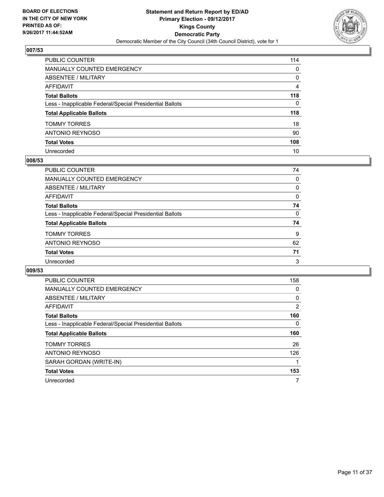

| PUBLIC COUNTER                                           | 114 |
|----------------------------------------------------------|-----|
| <b>MANUALLY COUNTED EMERGENCY</b>                        | 0   |
| <b>ABSENTEE / MILITARY</b>                               | 0   |
| AFFIDAVIT                                                | 4   |
| <b>Total Ballots</b>                                     | 118 |
| Less - Inapplicable Federal/Special Presidential Ballots | 0   |
| <b>Total Applicable Ballots</b>                          | 118 |
| <b>TOMMY TORRES</b>                                      | 18  |
| <b>ANTONIO REYNOSO</b>                                   | 90  |
| <b>Total Votes</b>                                       | 108 |
| Unrecorded                                               | 10  |

## **008/53**

| <b>PUBLIC COUNTER</b>                                    | 74 |
|----------------------------------------------------------|----|
| MANUALLY COUNTED EMERGENCY                               | 0  |
| ABSENTEE / MILITARY                                      | 0  |
| AFFIDAVIT                                                | 0  |
| <b>Total Ballots</b>                                     | 74 |
| Less - Inapplicable Federal/Special Presidential Ballots | 0  |
| <b>Total Applicable Ballots</b>                          | 74 |
| <b>TOMMY TORRES</b>                                      | 9  |
| ANTONIO REYNOSO                                          | 62 |
| <b>Total Votes</b>                                       | 71 |
| Unrecorded                                               | 3  |

| <b>PUBLIC COUNTER</b>                                    | 158 |
|----------------------------------------------------------|-----|
| <b>MANUALLY COUNTED EMERGENCY</b>                        | 0   |
| <b>ABSENTEE / MILITARY</b>                               | 0   |
| AFFIDAVIT                                                | 2   |
| <b>Total Ballots</b>                                     | 160 |
| Less - Inapplicable Federal/Special Presidential Ballots | 0   |
|                                                          |     |
| <b>Total Applicable Ballots</b>                          | 160 |
| <b>TOMMY TORRES</b>                                      | 26  |
| <b>ANTONIO REYNOSO</b>                                   | 126 |
| SARAH GORDAN (WRITE-IN)                                  |     |
| <b>Total Votes</b>                                       | 153 |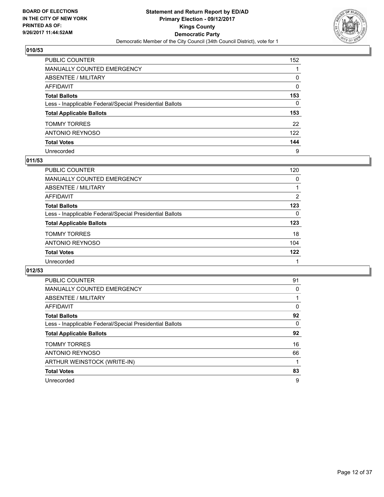

| PUBLIC COUNTER                                           | 152          |
|----------------------------------------------------------|--------------|
| <b>MANUALLY COUNTED EMERGENCY</b>                        |              |
| <b>ABSENTEE / MILITARY</b>                               | 0            |
| AFFIDAVIT                                                | 0            |
| <b>Total Ballots</b>                                     | 153          |
| Less - Inapplicable Federal/Special Presidential Ballots | $\mathbf{0}$ |
| <b>Total Applicable Ballots</b>                          | 153          |
| <b>TOMMY TORRES</b>                                      | 22           |
| <b>ANTONIO REYNOSO</b>                                   | 122          |
| <b>Total Votes</b>                                       | 144          |
| Unrecorded                                               | 9            |

## **011/53**

| <b>PUBLIC COUNTER</b>                                    | 120 |
|----------------------------------------------------------|-----|
| MANUALLY COUNTED EMERGENCY                               | 0   |
| ABSENTEE / MILITARY                                      |     |
| AFFIDAVIT                                                | 2   |
| <b>Total Ballots</b>                                     | 123 |
| Less - Inapplicable Federal/Special Presidential Ballots | 0   |
| <b>Total Applicable Ballots</b>                          | 123 |
| <b>TOMMY TORRES</b>                                      | 18  |
| ANTONIO REYNOSO                                          | 104 |
| <b>Total Votes</b>                                       | 122 |
| Unrecorded                                               |     |

| PUBLIC COUNTER                                           | 91 |
|----------------------------------------------------------|----|
| <b>MANUALLY COUNTED EMERGENCY</b>                        | 0  |
| <b>ABSENTEE / MILITARY</b>                               |    |
| <b>AFFIDAVIT</b>                                         | 0  |
| <b>Total Ballots</b>                                     | 92 |
| Less - Inapplicable Federal/Special Presidential Ballots | 0  |
| <b>Total Applicable Ballots</b>                          | 92 |
|                                                          |    |
| <b>TOMMY TORRES</b>                                      | 16 |
| <b>ANTONIO REYNOSO</b>                                   | 66 |
| ARTHUR WEINSTOCK (WRITE-IN)                              |    |
| <b>Total Votes</b>                                       | 83 |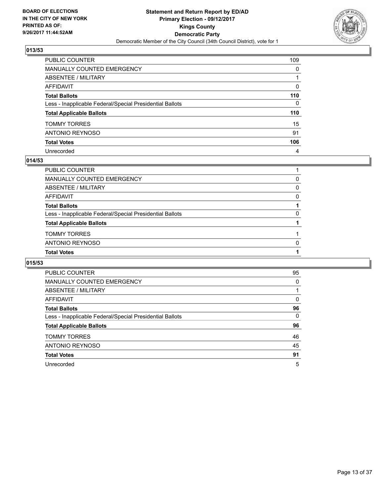

| PUBLIC COUNTER                                           | 109          |
|----------------------------------------------------------|--------------|
| <b>MANUALLY COUNTED EMERGENCY</b>                        | $\Omega$     |
| ABSENTEE / MILITARY                                      |              |
| <b>AFFIDAVIT</b>                                         | 0            |
| <b>Total Ballots</b>                                     | 110          |
| Less - Inapplicable Federal/Special Presidential Ballots | $\mathbf{0}$ |
| <b>Total Applicable Ballots</b>                          | 110          |
| <b>TOMMY TORRES</b>                                      | 15           |
| <b>ANTONIO REYNOSO</b>                                   | 91           |
| <b>Total Votes</b>                                       | 106          |
| Unrecorded                                               | 4            |

## **014/53**

| <b>Total Votes</b>                                       |              |
|----------------------------------------------------------|--------------|
| ANTONIO REYNOSO                                          | <sup>0</sup> |
| <b>TOMMY TORRES</b>                                      |              |
| <b>Total Applicable Ballots</b>                          |              |
| Less - Inapplicable Federal/Special Presidential Ballots | $\Omega$     |
| <b>Total Ballots</b>                                     |              |
| AFFIDAVIT                                                | 0            |
| ABSENTEE / MILITARY                                      | 0            |
| MANUALLY COUNTED EMERGENCY                               | 0            |
| PUBLIC COUNTER                                           |              |

| <b>PUBLIC COUNTER</b>                                    | 95 |
|----------------------------------------------------------|----|
| <b>MANUALLY COUNTED EMERGENCY</b>                        | 0  |
| ABSENTEE / MILITARY                                      |    |
| AFFIDAVIT                                                | 0  |
| <b>Total Ballots</b>                                     | 96 |
| Less - Inapplicable Federal/Special Presidential Ballots | 0  |
| <b>Total Applicable Ballots</b>                          | 96 |
| <b>TOMMY TORRES</b>                                      | 46 |
| <b>ANTONIO REYNOSO</b>                                   | 45 |
| <b>Total Votes</b>                                       | 91 |
| Unrecorded                                               | 5  |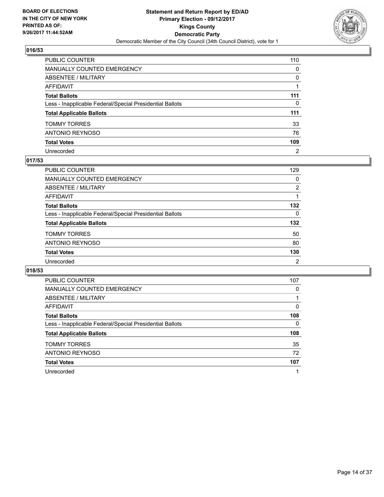

| PUBLIC COUNTER                                           | 110            |
|----------------------------------------------------------|----------------|
| <b>MANUALLY COUNTED EMERGENCY</b>                        | $\mathbf{0}$   |
| <b>ABSENTEE / MILITARY</b>                               | 0              |
| AFFIDAVIT                                                |                |
| <b>Total Ballots</b>                                     | 111            |
| Less - Inapplicable Federal/Special Presidential Ballots | $\mathbf{0}$   |
| <b>Total Applicable Ballots</b>                          | 111            |
| TOMMY TORRES                                             | 33             |
| ANTONIO REYNOSO                                          | 76             |
| <b>Total Votes</b>                                       | 109            |
| Unrecorded                                               | $\overline{2}$ |

## **017/53**

| <b>PUBLIC COUNTER</b>                                    | 129            |
|----------------------------------------------------------|----------------|
| <b>MANUALLY COUNTED EMERGENCY</b>                        | 0              |
| ABSENTEE / MILITARY                                      | 2              |
| AFFIDAVIT                                                |                |
| <b>Total Ballots</b>                                     | 132            |
| Less - Inapplicable Federal/Special Presidential Ballots | 0              |
| <b>Total Applicable Ballots</b>                          | 132            |
| <b>TOMMY TORRES</b>                                      | 50             |
| ANTONIO REYNOSO                                          | 80             |
| <b>Total Votes</b>                                       | 130            |
| Unrecorded                                               | $\overline{2}$ |

| <b>PUBLIC COUNTER</b>                                    | 107 |
|----------------------------------------------------------|-----|
| <b>MANUALLY COUNTED EMERGENCY</b>                        | 0   |
| ABSENTEE / MILITARY                                      |     |
| AFFIDAVIT                                                | 0   |
| <b>Total Ballots</b>                                     | 108 |
| Less - Inapplicable Federal/Special Presidential Ballots | 0   |
| <b>Total Applicable Ballots</b>                          | 108 |
| <b>TOMMY TORRES</b>                                      | 35  |
| ANTONIO REYNOSO                                          | 72  |
| <b>Total Votes</b>                                       | 107 |
| Unrecorded                                               |     |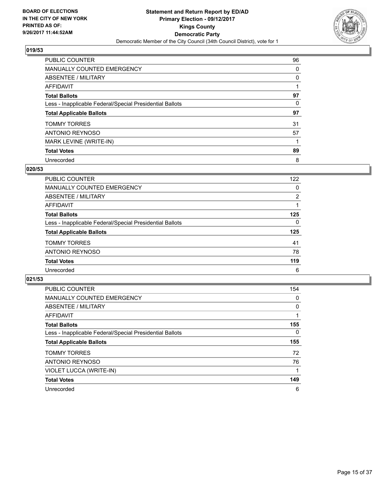

| PUBLIC COUNTER                                           | 96 |
|----------------------------------------------------------|----|
| <b>MANUALLY COUNTED EMERGENCY</b>                        | 0  |
| ABSENTEE / MILITARY                                      | 0  |
| AFFIDAVIT                                                |    |
| <b>Total Ballots</b>                                     | 97 |
| Less - Inapplicable Federal/Special Presidential Ballots | 0  |
| <b>Total Applicable Ballots</b>                          | 97 |
| <b>TOMMY TORRES</b>                                      | 31 |
| ANTONIO REYNOSO                                          | 57 |
| MARK LEVINE (WRITE-IN)                                   |    |
| <b>Total Votes</b>                                       | 89 |
| Unrecorded                                               | 8  |

#### **020/53**

| <b>PUBLIC COUNTER</b>                                    | 122            |
|----------------------------------------------------------|----------------|
| MANUALLY COUNTED EMERGENCY                               | 0              |
| ABSENTEE / MILITARY                                      | $\overline{2}$ |
| AFFIDAVIT                                                |                |
| <b>Total Ballots</b>                                     | 125            |
| Less - Inapplicable Federal/Special Presidential Ballots | 0              |
| <b>Total Applicable Ballots</b>                          | 125            |
| <b>TOMMY TORRES</b>                                      | 41             |
| ANTONIO REYNOSO                                          | 78             |
| <b>Total Votes</b>                                       | 119            |
| Unrecorded                                               | 6              |

| <b>PUBLIC COUNTER</b>                                    | 154      |
|----------------------------------------------------------|----------|
| MANUALLY COUNTED EMERGENCY                               | 0        |
| ABSENTEE / MILITARY                                      | 0        |
| AFFIDAVIT                                                |          |
| <b>Total Ballots</b>                                     | 155      |
| Less - Inapplicable Federal/Special Presidential Ballots | $\Omega$ |
| <b>Total Applicable Ballots</b>                          | 155      |
| <b>TOMMY TORRES</b>                                      | 72       |
| ANTONIO REYNOSO                                          | 76       |
| VIOLET LUCCA (WRITE-IN)                                  |          |
| <b>Total Votes</b>                                       | 149      |
| Unrecorded                                               | 6        |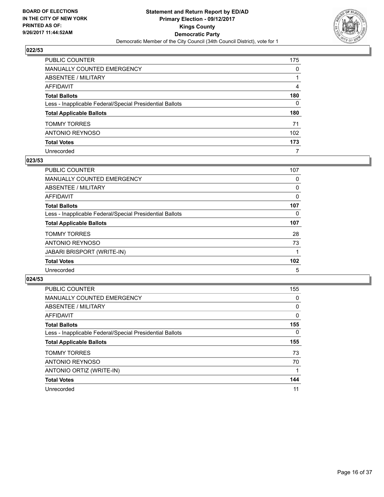

| PUBLIC COUNTER                                           | 175 |
|----------------------------------------------------------|-----|
| MANUALLY COUNTED EMERGENCY                               | 0   |
| ABSENTEE / MILITARY                                      | 1   |
| AFFIDAVIT                                                | 4   |
| Total Ballots                                            | 180 |
| Less - Inapplicable Federal/Special Presidential Ballots | 0   |
| <b>Total Applicable Ballots</b>                          | 180 |
| TOMMY TORRES                                             | 71  |
| ANTONIO REYNOSO                                          | 102 |
| <b>Total Votes</b>                                       | 173 |
| Unrecorded                                               | 7   |

## **023/53**

| <b>PUBLIC COUNTER</b>                                    | 107 |
|----------------------------------------------------------|-----|
| MANUALLY COUNTED EMERGENCY                               | 0   |
| ABSENTEE / MILITARY                                      | 0   |
| AFFIDAVIT                                                | 0   |
| <b>Total Ballots</b>                                     | 107 |
| Less - Inapplicable Federal/Special Presidential Ballots | 0   |
| <b>Total Applicable Ballots</b>                          | 107 |
| <b>TOMMY TORRES</b>                                      | 28  |
| ANTONIO REYNOSO                                          | 73  |
| <b>JABARI BRISPORT (WRITE-IN)</b>                        |     |
| <b>Total Votes</b>                                       | 102 |
| Unrecorded                                               | 5   |

| <b>PUBLIC COUNTER</b>                                    | 155          |
|----------------------------------------------------------|--------------|
| <b>MANUALLY COUNTED EMERGENCY</b>                        | 0            |
| ABSENTEE / MILITARY                                      | 0            |
| <b>AFFIDAVIT</b>                                         | $\mathbf{0}$ |
| <b>Total Ballots</b>                                     | 155          |
| Less - Inapplicable Federal/Special Presidential Ballots | $\Omega$     |
| <b>Total Applicable Ballots</b>                          | 155          |
| <b>TOMMY TORRES</b>                                      | 73           |
| <b>ANTONIO REYNOSO</b>                                   | 70           |
| ANTONIO ORTIZ (WRITE-IN)                                 |              |
| <b>Total Votes</b>                                       | 144          |
| Unrecorded                                               | 11           |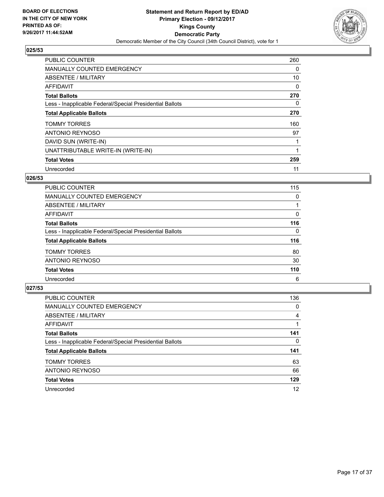

| <b>PUBLIC COUNTER</b>                                    | 260 |
|----------------------------------------------------------|-----|
| MANUALLY COUNTED EMERGENCY                               | 0   |
| ABSENTEE / MILITARY                                      | 10  |
| <b>AFFIDAVIT</b>                                         | 0   |
| <b>Total Ballots</b>                                     | 270 |
| Less - Inapplicable Federal/Special Presidential Ballots | 0   |
| <b>Total Applicable Ballots</b>                          | 270 |
| <b>TOMMY TORRES</b>                                      | 160 |
| ANTONIO REYNOSO                                          | 97  |
| DAVID SUN (WRITE-IN)                                     |     |
| UNATTRIBUTABLE WRITE-IN (WRITE-IN)                       |     |
| <b>Total Votes</b>                                       | 259 |
| Unrecorded                                               | 11  |

## **026/53**

| <b>PUBLIC COUNTER</b>                                    | 115 |
|----------------------------------------------------------|-----|
| <b>MANUALLY COUNTED EMERGENCY</b>                        | 0   |
| ABSENTEE / MILITARY                                      |     |
| <b>AFFIDAVIT</b>                                         | 0   |
| <b>Total Ballots</b>                                     | 116 |
| Less - Inapplicable Federal/Special Presidential Ballots | 0   |
| <b>Total Applicable Ballots</b>                          | 116 |
| <b>TOMMY TORRES</b>                                      | 80  |
| <b>ANTONIO REYNOSO</b>                                   | 30  |
| <b>Total Votes</b>                                       | 110 |
| Unrecorded                                               | 6   |

| <b>PUBLIC COUNTER</b>                                    | 136 |
|----------------------------------------------------------|-----|
| MANUALLY COUNTED EMERGENCY                               | 0   |
| ABSENTEE / MILITARY                                      | 4   |
| AFFIDAVIT                                                |     |
| <b>Total Ballots</b>                                     | 141 |
| Less - Inapplicable Federal/Special Presidential Ballots | 0   |
| <b>Total Applicable Ballots</b>                          | 141 |
| <b>TOMMY TORRES</b>                                      | 63  |
| ANTONIO REYNOSO                                          | 66  |
| <b>Total Votes</b>                                       | 129 |
| Unrecorded                                               | 12  |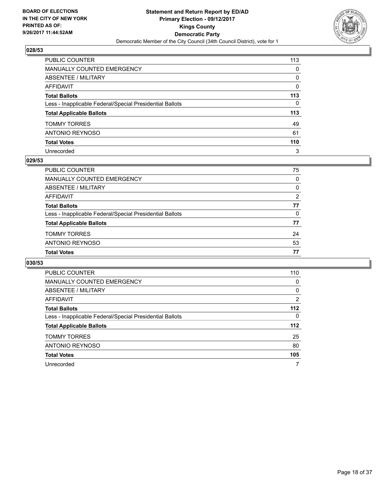

| PUBLIC COUNTER                                           | 113          |
|----------------------------------------------------------|--------------|
| MANUALLY COUNTED EMERGENCY                               | 0            |
| ABSENTEE / MILITARY                                      | 0            |
| AFFIDAVIT                                                | 0            |
| Total Ballots                                            | 113          |
| Less - Inapplicable Federal/Special Presidential Ballots | $\mathbf{0}$ |
| <b>Total Applicable Ballots</b>                          | 113          |
| TOMMY TORRES                                             | 49           |
| ANTONIO REYNOSO                                          | 61           |
| <b>Total Votes</b>                                       | 110          |
| Unrecorded                                               | 3            |

#### **029/53**

| PUBLIC COUNTER                                           | 75       |
|----------------------------------------------------------|----------|
| MANUALLY COUNTED EMERGENCY                               | 0        |
| ABSENTEE / MILITARY                                      | 0        |
| AFFIDAVIT                                                | 2        |
| <b>Total Ballots</b>                                     | 77       |
| Less - Inapplicable Federal/Special Presidential Ballots | $\Omega$ |
| <b>Total Applicable Ballots</b>                          | 77       |
| <b>TOMMY TORRES</b>                                      | 24       |
| ANTONIO REYNOSO                                          | 53       |
| <b>Total Votes</b>                                       | 77       |

| <b>PUBLIC COUNTER</b>                                    | 110   |
|----------------------------------------------------------|-------|
| MANUALLY COUNTED EMERGENCY                               | 0     |
| ABSENTEE / MILITARY                                      | 0     |
| AFFIDAVIT                                                | 2     |
| <b>Total Ballots</b>                                     | $112$ |
| Less - Inapplicable Federal/Special Presidential Ballots | 0     |
| <b>Total Applicable Ballots</b>                          | 112   |
| <b>TOMMY TORRES</b>                                      | 25    |
| ANTONIO REYNOSO                                          | 80    |
| <b>Total Votes</b>                                       | 105   |
| Unrecorded                                               | 7     |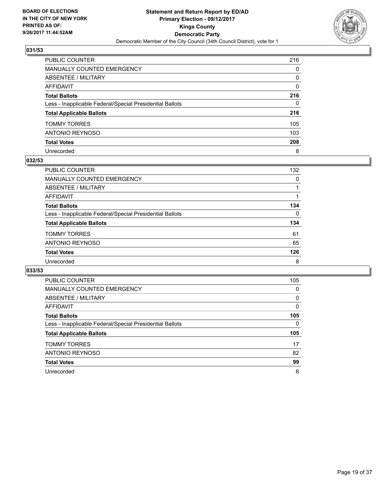

| PUBLIC COUNTER                                           | 216 |
|----------------------------------------------------------|-----|
| <b>MANUALLY COUNTED EMERGENCY</b>                        | 0   |
| <b>ABSENTEE / MILITARY</b>                               | 0   |
| <b>AFFIDAVIT</b>                                         | 0   |
| <b>Total Ballots</b>                                     | 216 |
| Less - Inapplicable Federal/Special Presidential Ballots | 0   |
| <b>Total Applicable Ballots</b>                          | 216 |
| <b>TOMMY TORRES</b>                                      | 105 |
| <b>ANTONIO REYNOSO</b>                                   | 103 |
| <b>Total Votes</b>                                       | 208 |
| Unrecorded                                               | 8   |

#### **032/53**

| PUBLIC COUNTER                                           | 132 |
|----------------------------------------------------------|-----|
| <b>MANUALLY COUNTED EMERGENCY</b>                        | 0   |
| ABSENTEE / MILITARY                                      |     |
| AFFIDAVIT                                                |     |
| <b>Total Ballots</b>                                     | 134 |
| Less - Inapplicable Federal/Special Presidential Ballots | 0   |
| <b>Total Applicable Ballots</b>                          | 134 |
| <b>TOMMY TORRES</b>                                      | 61  |
| ANTONIO REYNOSO                                          | 65  |
| <b>Total Votes</b>                                       | 126 |
| Unrecorded                                               | 8   |

| <b>PUBLIC COUNTER</b>                                    | 105 |
|----------------------------------------------------------|-----|
| MANUALLY COUNTED EMERGENCY                               | 0   |
| ABSENTEE / MILITARY                                      | 0   |
| AFFIDAVIT                                                | 0   |
| <b>Total Ballots</b>                                     | 105 |
| Less - Inapplicable Federal/Special Presidential Ballots | 0   |
|                                                          |     |
| <b>Total Applicable Ballots</b>                          | 105 |
| <b>TOMMY TORRES</b>                                      | 17  |
| ANTONIO REYNOSO                                          | 82  |
| <b>Total Votes</b>                                       | 99  |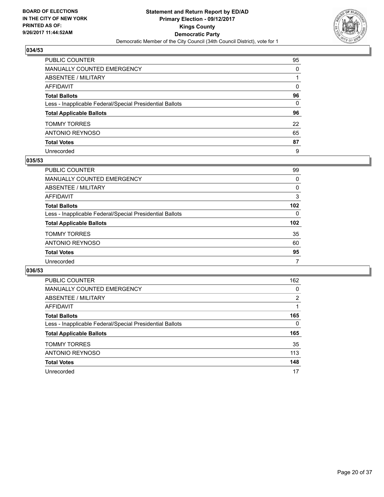

| PUBLIC COUNTER                                           | 95           |
|----------------------------------------------------------|--------------|
| MANUALLY COUNTED EMERGENCY                               | 0            |
| ABSENTEE / MILITARY                                      |              |
| AFFIDAVIT                                                | $\mathbf{0}$ |
| Total Ballots                                            | 96           |
| Less - Inapplicable Federal/Special Presidential Ballots | 0            |
| <b>Total Applicable Ballots</b>                          | 96           |
| TOMMY TORRES                                             | 22           |
| ANTONIO REYNOSO                                          | 65           |
| <b>Total Votes</b>                                       | 87           |
| Unrecorded                                               | 9            |

#### **035/53**

| <b>PUBLIC COUNTER</b>                                    | 99               |
|----------------------------------------------------------|------------------|
| MANUALLY COUNTED EMERGENCY                               | 0                |
| ABSENTEE / MILITARY                                      | 0                |
| AFFIDAVIT                                                | 3                |
| <b>Total Ballots</b>                                     | 102              |
| Less - Inapplicable Federal/Special Presidential Ballots | $\Omega$         |
| <b>Total Applicable Ballots</b>                          | 102 <sub>2</sub> |
| <b>TOMMY TORRES</b>                                      | 35               |
| ANTONIO REYNOSO                                          | 60               |
| <b>Total Votes</b>                                       | 95               |
| Unrecorded                                               | 7                |

| <b>PUBLIC COUNTER</b>                                    | 162            |
|----------------------------------------------------------|----------------|
| <b>MANUALLY COUNTED EMERGENCY</b>                        | 0              |
| ABSENTEE / MILITARY                                      | $\overline{2}$ |
| AFFIDAVIT                                                |                |
| <b>Total Ballots</b>                                     | 165            |
| Less - Inapplicable Federal/Special Presidential Ballots | 0              |
| <b>Total Applicable Ballots</b>                          | 165            |
| <b>TOMMY TORRES</b>                                      | 35             |
| ANTONIO REYNOSO                                          | 113            |
| <b>Total Votes</b>                                       | 148            |
| Unrecorded                                               | 17             |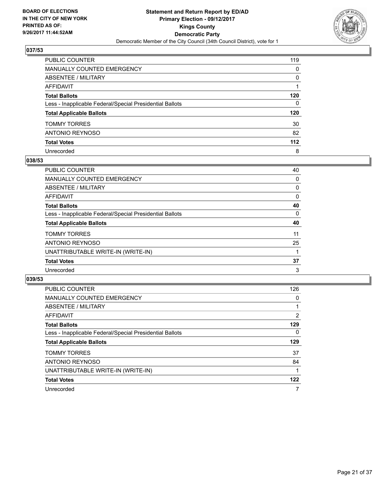

| PUBLIC COUNTER                                           | 119          |
|----------------------------------------------------------|--------------|
| MANUALLY COUNTED EMERGENCY                               | 0            |
| ABSENTEE / MILITARY                                      | 0            |
| AFFIDAVIT                                                |              |
| Total Ballots                                            | 120          |
| Less - Inapplicable Federal/Special Presidential Ballots | $\mathbf{0}$ |
| <b>Total Applicable Ballots</b>                          | 120          |
| TOMMY TORRES                                             | 30           |
| ANTONIO REYNOSO                                          | 82           |
| <b>Total Votes</b>                                       | 112          |
| Unrecorded                                               | 8            |

## **038/53**

| <b>PUBLIC COUNTER</b>                                    | 40 |
|----------------------------------------------------------|----|
| <b>MANUALLY COUNTED EMERGENCY</b>                        | 0  |
| ABSENTEE / MILITARY                                      | 0  |
| AFFIDAVIT                                                | 0  |
| <b>Total Ballots</b>                                     | 40 |
| Less - Inapplicable Federal/Special Presidential Ballots | 0  |
| <b>Total Applicable Ballots</b>                          | 40 |
| <b>TOMMY TORRES</b>                                      | 11 |
| ANTONIO REYNOSO                                          | 25 |
| UNATTRIBUTABLE WRITE-IN (WRITE-IN)                       |    |
| <b>Total Votes</b>                                       | 37 |
| Unrecorded                                               | 3  |

| <b>PUBLIC COUNTER</b>                                    | 126      |
|----------------------------------------------------------|----------|
| <b>MANUALLY COUNTED EMERGENCY</b>                        | 0        |
| ABSENTEE / MILITARY                                      |          |
| <b>AFFIDAVIT</b>                                         | 2        |
| <b>Total Ballots</b>                                     | 129      |
| Less - Inapplicable Federal/Special Presidential Ballots | $\Omega$ |
| <b>Total Applicable Ballots</b>                          | 129      |
| <b>TOMMY TORRES</b>                                      | 37       |
| <b>ANTONIO REYNOSO</b>                                   | 84       |
| UNATTRIBUTABLE WRITE-IN (WRITE-IN)                       |          |
| <b>Total Votes</b>                                       | 122      |
| Unrecorded                                               | 7        |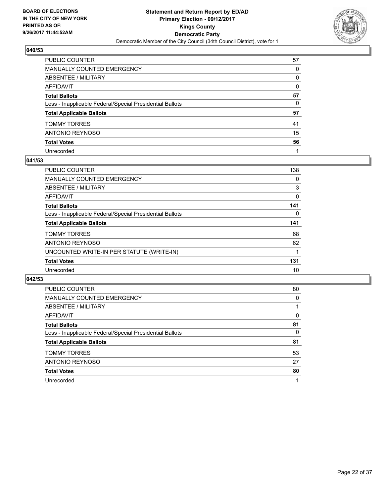

| PUBLIC COUNTER                                           | 57       |
|----------------------------------------------------------|----------|
| MANUALLY COUNTED EMERGENCY                               | 0        |
| ABSENTEE / MILITARY                                      | 0        |
| AFFIDAVIT                                                | $\Omega$ |
| Total Ballots                                            | 57       |
| Less - Inapplicable Federal/Special Presidential Ballots | 0        |
| <b>Total Applicable Ballots</b>                          | 57       |
| TOMMY TORRES                                             | 41       |
| ANTONIO REYNOSO                                          | 15       |
| <b>Total Votes</b>                                       | 56       |
| Unrecorded                                               |          |

#### **041/53**

| <b>PUBLIC COUNTER</b>                                    | 138 |
|----------------------------------------------------------|-----|
| <b>MANUALLY COUNTED EMERGENCY</b>                        | 0   |
| ABSENTEE / MILITARY                                      | 3   |
| AFFIDAVIT                                                | 0   |
| <b>Total Ballots</b>                                     | 141 |
| Less - Inapplicable Federal/Special Presidential Ballots | 0   |
| <b>Total Applicable Ballots</b>                          | 141 |
| <b>TOMMY TORRES</b>                                      | 68  |
| ANTONIO REYNOSO                                          | 62  |
| UNCOUNTED WRITE-IN PER STATUTE (WRITE-IN)                |     |
| <b>Total Votes</b>                                       | 131 |
| Unrecorded                                               | 10  |

| <b>PUBLIC COUNTER</b>                                    | 80 |
|----------------------------------------------------------|----|
| <b>MANUALLY COUNTED EMERGENCY</b>                        | 0  |
| ABSENTEE / MILITARY                                      |    |
| <b>AFFIDAVIT</b>                                         | 0  |
| <b>Total Ballots</b>                                     | 81 |
| Less - Inapplicable Federal/Special Presidential Ballots | 0  |
| <b>Total Applicable Ballots</b>                          | 81 |
| <b>TOMMY TORRES</b>                                      | 53 |
| <b>ANTONIO REYNOSO</b>                                   | 27 |
| <b>Total Votes</b>                                       | 80 |
| Unrecorded                                               | 1  |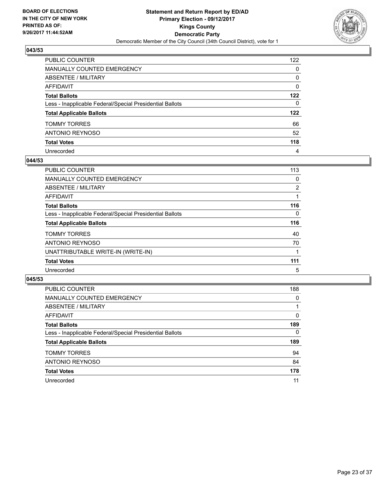

| PUBLIC COUNTER                                           | 122          |
|----------------------------------------------------------|--------------|
| <b>MANUALLY COUNTED EMERGENCY</b>                        | $\mathbf{0}$ |
| ABSENTEE / MILITARY                                      | 0            |
| <b>AFFIDAVIT</b>                                         | $\Omega$     |
| <b>Total Ballots</b>                                     | 122          |
| Less - Inapplicable Federal/Special Presidential Ballots | $\mathbf{0}$ |
| <b>Total Applicable Ballots</b>                          | 122          |
| <b>TOMMY TORRES</b>                                      | 66           |
| ANTONIO REYNOSO                                          | 52           |
| <b>Total Votes</b>                                       | 118          |
| Unrecorded                                               | 4            |

## **044/53**

| <b>PUBLIC COUNTER</b>                                    | 113            |
|----------------------------------------------------------|----------------|
| MANUALLY COUNTED EMERGENCY                               | 0              |
| ABSENTEE / MILITARY                                      | $\overline{2}$ |
| <b>AFFIDAVIT</b>                                         |                |
| <b>Total Ballots</b>                                     | 116            |
| Less - Inapplicable Federal/Special Presidential Ballots | 0              |
| <b>Total Applicable Ballots</b>                          | 116            |
| <b>TOMMY TORRES</b>                                      | 40             |
| ANTONIO REYNOSO                                          | 70             |
| UNATTRIBUTABLE WRITE-IN (WRITE-IN)                       |                |
| <b>Total Votes</b>                                       | 111            |
| Unrecorded                                               | 5              |

| <b>PUBLIC COUNTER</b>                                    | 188      |
|----------------------------------------------------------|----------|
| <b>MANUALLY COUNTED EMERGENCY</b>                        | 0        |
| ABSENTEE / MILITARY                                      |          |
| AFFIDAVIT                                                | 0        |
| <b>Total Ballots</b>                                     | 189      |
| Less - Inapplicable Federal/Special Presidential Ballots | $\Omega$ |
| <b>Total Applicable Ballots</b>                          | 189      |
| <b>TOMMY TORRES</b>                                      | 94       |
| ANTONIO REYNOSO                                          | 84       |
| <b>Total Votes</b>                                       | 178      |
| Unrecorded                                               | 11       |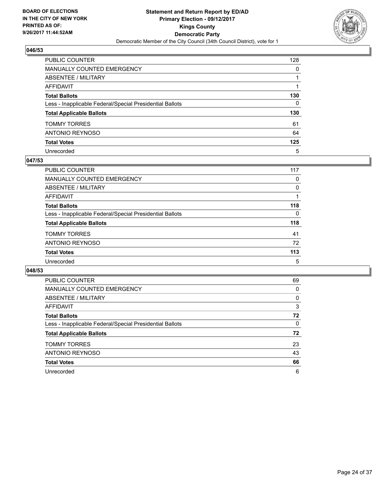

| PUBLIC COUNTER                                           | 128          |
|----------------------------------------------------------|--------------|
| <b>MANUALLY COUNTED EMERGENCY</b>                        | $\Omega$     |
| <b>ABSENTEE / MILITARY</b>                               |              |
| AFFIDAVIT                                                |              |
| <b>Total Ballots</b>                                     | 130          |
| Less - Inapplicable Federal/Special Presidential Ballots | $\mathbf{0}$ |
| <b>Total Applicable Ballots</b>                          | 130          |
| <b>TOMMY TORRES</b>                                      | 61           |
| ANTONIO REYNOSO                                          | 64           |
| <b>Total Votes</b>                                       | 125          |
| Unrecorded                                               | 5            |

#### **047/53**

| <b>PUBLIC COUNTER</b>                                    | 117 |
|----------------------------------------------------------|-----|
| <b>MANUALLY COUNTED EMERGENCY</b>                        | 0   |
| ABSENTEE / MILITARY                                      | 0   |
| AFFIDAVIT                                                |     |
| <b>Total Ballots</b>                                     | 118 |
| Less - Inapplicable Federal/Special Presidential Ballots | 0   |
| <b>Total Applicable Ballots</b>                          | 118 |
| <b>TOMMY TORRES</b>                                      | 41  |
| ANTONIO REYNOSO                                          | 72  |
| <b>Total Votes</b>                                       | 113 |
| Unrecorded                                               | 5   |

| <b>PUBLIC COUNTER</b>                                    | 69 |
|----------------------------------------------------------|----|
| <b>MANUALLY COUNTED EMERGENCY</b>                        | 0  |
| ABSENTEE / MILITARY                                      | 0  |
| <b>AFFIDAVIT</b>                                         | 3  |
| <b>Total Ballots</b>                                     | 72 |
| Less - Inapplicable Federal/Special Presidential Ballots | 0  |
| <b>Total Applicable Ballots</b>                          | 72 |
| <b>TOMMY TORRES</b>                                      | 23 |
| <b>ANTONIO REYNOSO</b>                                   | 43 |
| <b>Total Votes</b>                                       | 66 |
| Unrecorded                                               | 6  |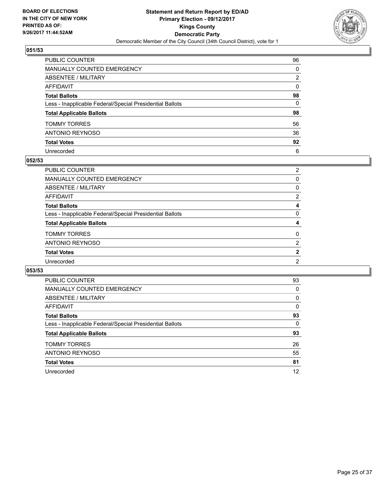

| PUBLIC COUNTER                                           | 96           |
|----------------------------------------------------------|--------------|
| MANUALLY COUNTED EMERGENCY                               | 0            |
| ABSENTEE / MILITARY                                      | 2            |
| AFFIDAVIT                                                | $\mathbf{0}$ |
| Total Ballots                                            | 98           |
| Less - Inapplicable Federal/Special Presidential Ballots | 0            |
| <b>Total Applicable Ballots</b>                          | 98           |
| TOMMY TORRES                                             | 56           |
| ANTONIO REYNOSO                                          | 36           |
| <b>Total Votes</b>                                       | 92           |
| Unrecorded                                               | 6            |

#### **052/53**

| <b>PUBLIC COUNTER</b>                                    | $\overline{2}$ |
|----------------------------------------------------------|----------------|
| MANUALLY COUNTED EMERGENCY                               | 0              |
| ABSENTEE / MILITARY                                      | 0              |
| AFFIDAVIT                                                | 2              |
| <b>Total Ballots</b>                                     | 4              |
| Less - Inapplicable Federal/Special Presidential Ballots | 0              |
| <b>Total Applicable Ballots</b>                          | 4              |
| <b>TOMMY TORRES</b>                                      | 0              |
| ANTONIO REYNOSO                                          | $\overline{2}$ |
| <b>Total Votes</b>                                       | $\mathbf{2}$   |
| Unrecorded                                               | $\overline{2}$ |
|                                                          |                |

| <b>PUBLIC COUNTER</b>                                    | 93 |
|----------------------------------------------------------|----|
| <b>MANUALLY COUNTED EMERGENCY</b>                        | 0  |
| ABSENTEE / MILITARY                                      | 0  |
| AFFIDAVIT                                                | 0  |
| <b>Total Ballots</b>                                     | 93 |
| Less - Inapplicable Federal/Special Presidential Ballots | 0  |
| <b>Total Applicable Ballots</b>                          | 93 |
| <b>TOMMY TORRES</b>                                      | 26 |
| <b>ANTONIO REYNOSO</b>                                   | 55 |
| <b>Total Votes</b>                                       | 81 |
| Unrecorded                                               | 12 |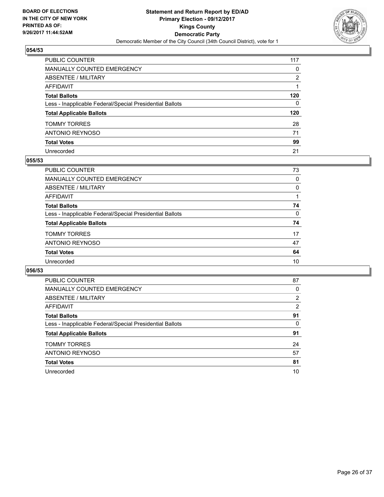

| PUBLIC COUNTER                                           | 117          |
|----------------------------------------------------------|--------------|
| <b>MANUALLY COUNTED EMERGENCY</b>                        | $\mathbf{0}$ |
| <b>ABSENTEE / MILITARY</b>                               | 2            |
| AFFIDAVIT                                                |              |
| <b>Total Ballots</b>                                     | 120          |
| Less - Inapplicable Federal/Special Presidential Ballots | $\mathbf{0}$ |
| <b>Total Applicable Ballots</b>                          | 120          |
| <b>TOMMY TORRES</b>                                      | 28           |
| ANTONIO REYNOSO                                          | 71           |
| <b>Total Votes</b>                                       | 99           |
| Unrecorded                                               | 21           |

#### **055/53**

| PUBLIC COUNTER                                           | 73 |
|----------------------------------------------------------|----|
| <b>MANUALLY COUNTED EMERGENCY</b>                        | 0  |
| ABSENTEE / MILITARY                                      | 0  |
| AFFIDAVIT                                                |    |
| <b>Total Ballots</b>                                     | 74 |
| Less - Inapplicable Federal/Special Presidential Ballots | 0  |
| <b>Total Applicable Ballots</b>                          | 74 |
| <b>TOMMY TORRES</b>                                      | 17 |
| ANTONIO REYNOSO                                          | 47 |
| <b>Total Votes</b>                                       | 64 |
| Unrecorded                                               | 10 |
|                                                          |    |

| PUBLIC COUNTER                                           | 87             |
|----------------------------------------------------------|----------------|
| <b>MANUALLY COUNTED EMERGENCY</b>                        | 0              |
| ABSENTEE / MILITARY                                      | $\overline{2}$ |
| <b>AFFIDAVIT</b>                                         | 2              |
| <b>Total Ballots</b>                                     | 91             |
| Less - Inapplicable Federal/Special Presidential Ballots | 0              |
| <b>Total Applicable Ballots</b>                          | 91             |
| <b>TOMMY TORRES</b>                                      | 24             |
| <b>ANTONIO REYNOSO</b>                                   | 57             |
| <b>Total Votes</b>                                       | 81             |
| Unrecorded                                               | 10             |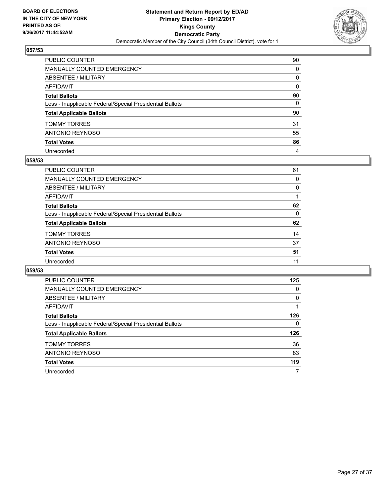

| PUBLIC COUNTER                                           | 90           |
|----------------------------------------------------------|--------------|
| MANUALLY COUNTED EMERGENCY                               | 0            |
| ABSENTEE / MILITARY                                      | 0            |
| AFFIDAVIT                                                | $\mathbf{0}$ |
| Total Ballots                                            | 90           |
| Less - Inapplicable Federal/Special Presidential Ballots | $\mathbf{0}$ |
| <b>Total Applicable Ballots</b>                          | 90           |
| TOMMY TORRES                                             | 31           |
| ANTONIO REYNOSO                                          | 55           |
| <b>Total Votes</b>                                       | 86           |
| Unrecorded                                               | 4            |

## **058/53**

| PUBLIC COUNTER                                           | 61 |
|----------------------------------------------------------|----|
| MANUALLY COUNTED EMERGENCY                               | 0  |
| ABSENTEE / MILITARY                                      | 0  |
| AFFIDAVIT                                                |    |
| <b>Total Ballots</b>                                     | 62 |
| Less - Inapplicable Federal/Special Presidential Ballots | 0  |
| <b>Total Applicable Ballots</b>                          | 62 |
| <b>TOMMY TORRES</b>                                      | 14 |
| ANTONIO REYNOSO                                          | 37 |
| <b>Total Votes</b>                                       | 51 |
| Unrecorded                                               | 11 |

| <b>PUBLIC COUNTER</b>                                    | 125 |
|----------------------------------------------------------|-----|
| <b>MANUALLY COUNTED EMERGENCY</b>                        | 0   |
| ABSENTEE / MILITARY                                      | 0   |
| AFFIDAVIT                                                |     |
| <b>Total Ballots</b>                                     | 126 |
| Less - Inapplicable Federal/Special Presidential Ballots | 0   |
| <b>Total Applicable Ballots</b>                          | 126 |
| <b>TOMMY TORRES</b>                                      | 36  |
|                                                          |     |
| ANTONIO REYNOSO                                          | 83  |
| <b>Total Votes</b>                                       | 119 |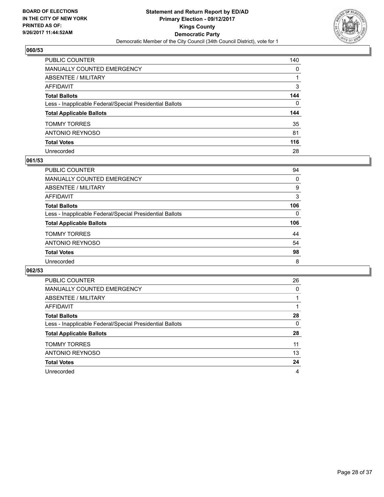

| PUBLIC COUNTER                                           | 140          |
|----------------------------------------------------------|--------------|
| <b>MANUALLY COUNTED EMERGENCY</b>                        | $\mathbf{0}$ |
| <b>ABSENTEE / MILITARY</b>                               |              |
| AFFIDAVIT                                                | 3            |
| <b>Total Ballots</b>                                     | 144          |
| Less - Inapplicable Federal/Special Presidential Ballots | $\mathbf{0}$ |
| <b>Total Applicable Ballots</b>                          | 144          |
| <b>TOMMY TORRES</b>                                      | 35           |
| ANTONIO REYNOSO                                          | 81           |
| <b>Total Votes</b>                                       | 116          |
| Unrecorded                                               | 28           |

## **061/53**

| PUBLIC COUNTER                                           | 94  |
|----------------------------------------------------------|-----|
| <b>MANUALLY COUNTED EMERGENCY</b>                        | 0   |
| ABSENTEE / MILITARY                                      | 9   |
| AFFIDAVIT                                                | 3   |
| <b>Total Ballots</b>                                     | 106 |
| Less - Inapplicable Federal/Special Presidential Ballots | 0   |
| <b>Total Applicable Ballots</b>                          | 106 |
| <b>TOMMY TORRES</b>                                      | 44  |
| ANTONIO REYNOSO                                          | 54  |
| <b>Total Votes</b>                                       | 98  |
| Unrecorded                                               | 8   |

| <b>PUBLIC COUNTER</b>                                    | 26 |
|----------------------------------------------------------|----|
| <b>MANUALLY COUNTED EMERGENCY</b>                        | 0  |
| ABSENTEE / MILITARY                                      |    |
| AFFIDAVIT                                                |    |
| <b>Total Ballots</b>                                     | 28 |
| Less - Inapplicable Federal/Special Presidential Ballots | 0  |
| <b>Total Applicable Ballots</b>                          | 28 |
| <b>TOMMY TORRES</b>                                      | 11 |
| ANTONIO REYNOSO                                          | 13 |
| <b>Total Votes</b>                                       | 24 |
| Unrecorded                                               | 4  |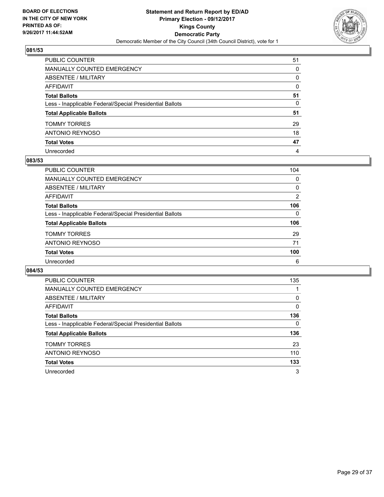

| PUBLIC COUNTER                                           | 51       |
|----------------------------------------------------------|----------|
| MANUALLY COUNTED EMERGENCY                               | 0        |
| ABSENTEE / MILITARY                                      | 0        |
| AFFIDAVIT                                                | $\Omega$ |
| Total Ballots                                            | 51       |
| Less - Inapplicable Federal/Special Presidential Ballots | 0        |
| <b>Total Applicable Ballots</b>                          | 51       |
| TOMMY TORRES                                             | 29       |
| ANTONIO REYNOSO                                          | 18       |
| <b>Total Votes</b>                                       | 47       |
| Unrecorded                                               | 4        |

#### **083/53**

| <b>PUBLIC COUNTER</b>                                    | 104 |
|----------------------------------------------------------|-----|
| <b>MANUALLY COUNTED EMERGENCY</b>                        | 0   |
| ABSENTEE / MILITARY                                      | 0   |
| AFFIDAVIT                                                | 2   |
| <b>Total Ballots</b>                                     | 106 |
| Less - Inapplicable Federal/Special Presidential Ballots | 0   |
| <b>Total Applicable Ballots</b>                          | 106 |
| <b>TOMMY TORRES</b>                                      | 29  |
| ANTONIO REYNOSO                                          | 71  |
| <b>Total Votes</b>                                       | 100 |
| Unrecorded                                               | 6   |

| <b>PUBLIC COUNTER</b>                                    | 135 |
|----------------------------------------------------------|-----|
| <b>MANUALLY COUNTED EMERGENCY</b>                        |     |
| ABSENTEE / MILITARY                                      | 0   |
| <b>AFFIDAVIT</b>                                         | 0   |
| <b>Total Ballots</b>                                     | 136 |
| Less - Inapplicable Federal/Special Presidential Ballots | 0   |
| <b>Total Applicable Ballots</b>                          | 136 |
| <b>TOMMY TORRES</b>                                      | 23  |
| <b>ANTONIO REYNOSO</b>                                   | 110 |
| <b>Total Votes</b>                                       | 133 |
| Unrecorded                                               | 3   |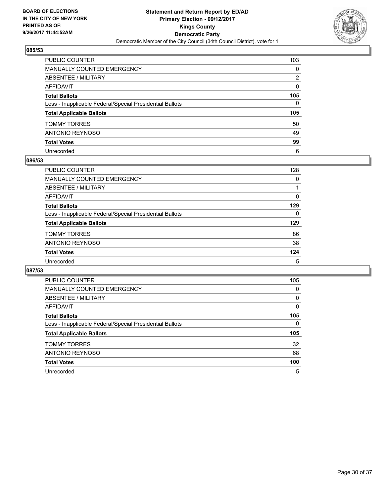

| PUBLIC COUNTER                                           | 103          |
|----------------------------------------------------------|--------------|
| <b>MANUALLY COUNTED EMERGENCY</b>                        | $\mathbf{0}$ |
| ABSENTEE / MILITARY                                      | 2            |
| AFFIDAVIT                                                | $\Omega$     |
| <b>Total Ballots</b>                                     | 105          |
| Less - Inapplicable Federal/Special Presidential Ballots | $\mathbf{0}$ |
| <b>Total Applicable Ballots</b>                          | 105          |
| <b>TOMMY TORRES</b>                                      | 50           |
| ANTONIO REYNOSO                                          | 49           |
| <b>Total Votes</b>                                       | 99           |
| Unrecorded                                               | 6            |

#### **086/53**

| <b>PUBLIC COUNTER</b>                                    | 128 |
|----------------------------------------------------------|-----|
| <b>MANUALLY COUNTED EMERGENCY</b>                        | 0   |
| ABSENTEE / MILITARY                                      |     |
| AFFIDAVIT                                                | 0   |
| <b>Total Ballots</b>                                     | 129 |
| Less - Inapplicable Federal/Special Presidential Ballots | 0   |
| <b>Total Applicable Ballots</b>                          | 129 |
| <b>TOMMY TORRES</b>                                      | 86  |
| ANTONIO REYNOSO                                          | 38  |
| <b>Total Votes</b>                                       | 124 |
| Unrecorded                                               | 5   |

| <b>PUBLIC COUNTER</b>                                    | 105 |
|----------------------------------------------------------|-----|
| <b>MANUALLY COUNTED EMERGENCY</b>                        | 0   |
| ABSENTEE / MILITARY                                      | 0   |
| <b>AFFIDAVIT</b>                                         | 0   |
| <b>Total Ballots</b>                                     | 105 |
| Less - Inapplicable Federal/Special Presidential Ballots | 0   |
| <b>Total Applicable Ballots</b>                          | 105 |
| <b>TOMMY TORRES</b>                                      | 32  |
| <b>ANTONIO REYNOSO</b>                                   | 68  |
|                                                          |     |
| <b>Total Votes</b>                                       | 100 |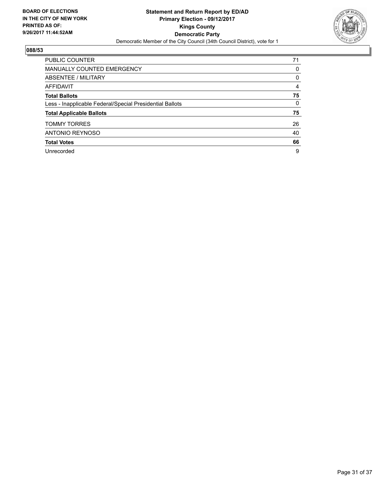

| <b>PUBLIC COUNTER</b>                                    | 71 |
|----------------------------------------------------------|----|
| <b>MANUALLY COUNTED EMERGENCY</b>                        | 0  |
| ABSENTEE / MILITARY                                      | 0  |
| AFFIDAVIT                                                | 4  |
| <b>Total Ballots</b>                                     | 75 |
| Less - Inapplicable Federal/Special Presidential Ballots | 0  |
| <b>Total Applicable Ballots</b>                          | 75 |
| <b>TOMMY TORRES</b>                                      | 26 |
| <b>ANTONIO REYNOSO</b>                                   | 40 |
| <b>Total Votes</b>                                       | 66 |
| Unrecorded                                               | 9  |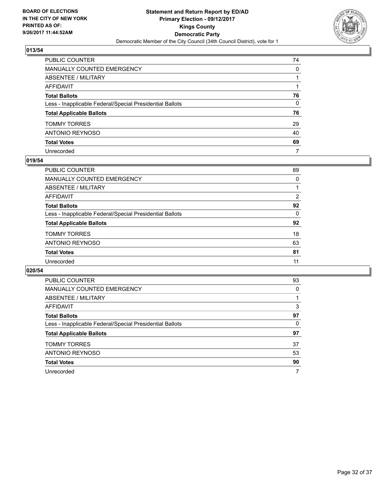

| PUBLIC COUNTER                                           | 74           |
|----------------------------------------------------------|--------------|
| <b>MANUALLY COUNTED EMERGENCY</b>                        | $\mathbf{0}$ |
| ABSENTEE / MILITARY                                      |              |
| <b>AFFIDAVIT</b>                                         |              |
| <b>Total Ballots</b>                                     | 76           |
| Less - Inapplicable Federal/Special Presidential Ballots | $\mathbf{0}$ |
| <b>Total Applicable Ballots</b>                          | 76           |
| <b>TOMMY TORRES</b>                                      | 29           |
| <b>ANTONIO REYNOSO</b>                                   | 40           |
| <b>Total Votes</b>                                       | 69           |
| Unrecorded                                               | 7            |

## **019/54**

| PUBLIC COUNTER                                           | 89 |
|----------------------------------------------------------|----|
| MANUALLY COUNTED EMERGENCY                               | 0  |
| ABSENTEE / MILITARY                                      |    |
| AFFIDAVIT                                                | 2  |
| <b>Total Ballots</b>                                     | 92 |
| Less - Inapplicable Federal/Special Presidential Ballots | 0  |
| <b>Total Applicable Ballots</b>                          | 92 |
| <b>TOMMY TORRES</b>                                      | 18 |
| ANTONIO REYNOSO                                          | 63 |
| <b>Total Votes</b>                                       | 81 |
| Unrecorded                                               | 11 |
|                                                          |    |

| <b>PUBLIC COUNTER</b>                                    | 93 |
|----------------------------------------------------------|----|
| <b>MANUALLY COUNTED EMERGENCY</b>                        | 0  |
| ABSENTEE / MILITARY                                      |    |
| AFFIDAVIT                                                | 3  |
| <b>Total Ballots</b>                                     | 97 |
| Less - Inapplicable Federal/Special Presidential Ballots | 0  |
| <b>Total Applicable Ballots</b>                          | 97 |
| <b>TOMMY TORRES</b>                                      | 37 |
| ANTONIO REYNOSO                                          | 53 |
| <b>Total Votes</b>                                       | 90 |
| Unrecorded                                               |    |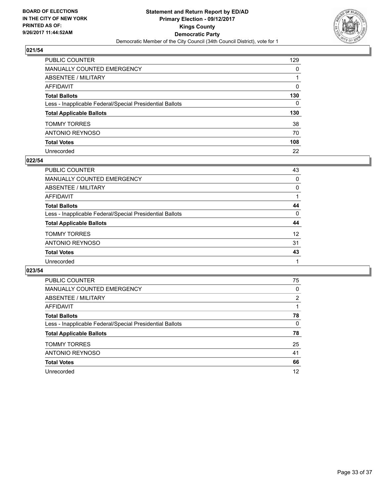

| PUBLIC COUNTER                                           | 129          |
|----------------------------------------------------------|--------------|
| <b>MANUALLY COUNTED EMERGENCY</b>                        | $\mathbf{0}$ |
| <b>ABSENTEE / MILITARY</b>                               |              |
| AFFIDAVIT                                                | $\Omega$     |
| <b>Total Ballots</b>                                     | 130          |
| Less - Inapplicable Federal/Special Presidential Ballots | $\mathbf{0}$ |
| <b>Total Applicable Ballots</b>                          | 130          |
| <b>TOMMY TORRES</b>                                      | 38           |
| ANTONIO REYNOSO                                          | 70           |
| <b>Total Votes</b>                                       | 108          |
| Unrecorded                                               | 22           |

#### **022/54**

| PUBLIC COUNTER                                           | 43       |
|----------------------------------------------------------|----------|
| MANUALLY COUNTED EMERGENCY                               | 0        |
| ABSENTEE / MILITARY                                      | 0        |
| AFFIDAVIT                                                |          |
| <b>Total Ballots</b>                                     | 44       |
| Less - Inapplicable Federal/Special Presidential Ballots | $\Omega$ |
| <b>Total Applicable Ballots</b>                          | 44       |
| <b>TOMMY TORRES</b>                                      | 12       |
| ANTONIO REYNOSO                                          | 31       |
| <b>Total Votes</b>                                       | 43       |
| Unrecorded                                               |          |

| <b>PUBLIC COUNTER</b>                                    | 75             |
|----------------------------------------------------------|----------------|
| <b>MANUALLY COUNTED EMERGENCY</b>                        | 0              |
| ABSENTEE / MILITARY                                      | $\overline{2}$ |
| AFFIDAVIT                                                |                |
| <b>Total Ballots</b>                                     | 78             |
| Less - Inapplicable Federal/Special Presidential Ballots | 0              |
| <b>Total Applicable Ballots</b>                          | 78             |
| <b>TOMMY TORRES</b>                                      | 25             |
| <b>ANTONIO REYNOSO</b>                                   | 41             |
| <b>Total Votes</b>                                       | 66             |
| Unrecorded                                               | 12             |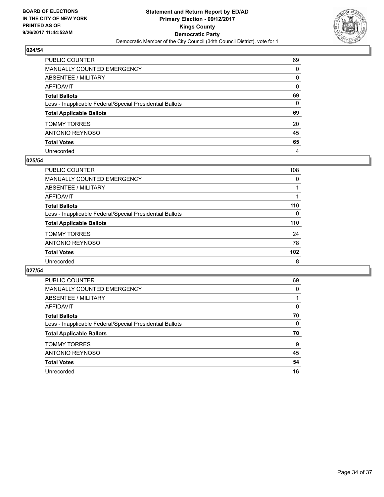

| PUBLIC COUNTER                                           | 69           |
|----------------------------------------------------------|--------------|
| <b>MANUALLY COUNTED EMERGENCY</b>                        | $\mathbf{0}$ |
| ABSENTEE / MILITARY                                      | 0            |
| AFFIDAVIT                                                | $\Omega$     |
| <b>Total Ballots</b>                                     | 69           |
| Less - Inapplicable Federal/Special Presidential Ballots | $\mathbf{0}$ |
| <b>Total Applicable Ballots</b>                          | 69           |
| <b>TOMMY TORRES</b>                                      | 20           |
| <b>ANTONIO REYNOSO</b>                                   | 45           |
| <b>Total Votes</b>                                       | 65           |
| Unrecorded                                               | 4            |

## **025/54**

| <b>PUBLIC COUNTER</b>                                    | 108      |
|----------------------------------------------------------|----------|
| <b>MANUALLY COUNTED EMERGENCY</b>                        | 0        |
| ABSENTEE / MILITARY                                      |          |
| AFFIDAVIT                                                |          |
| <b>Total Ballots</b>                                     | 110      |
| Less - Inapplicable Federal/Special Presidential Ballots | $\Omega$ |
| <b>Total Applicable Ballots</b>                          | 110      |
| <b>TOMMY TORRES</b>                                      | 24       |
| ANTONIO REYNOSO                                          | 78       |
| <b>Total Votes</b>                                       | 102      |
| Unrecorded                                               | 8        |

| <b>PUBLIC COUNTER</b>                                    | 69 |
|----------------------------------------------------------|----|
| <b>MANUALLY COUNTED EMERGENCY</b>                        | 0  |
| ABSENTEE / MILITARY                                      |    |
| <b>AFFIDAVIT</b>                                         | 0  |
| <b>Total Ballots</b>                                     | 70 |
| Less - Inapplicable Federal/Special Presidential Ballots | 0  |
| <b>Total Applicable Ballots</b>                          | 70 |
| <b>TOMMY TORRES</b>                                      | 9  |
| <b>ANTONIO REYNOSO</b>                                   | 45 |
| <b>Total Votes</b>                                       | 54 |
| Unrecorded                                               | 16 |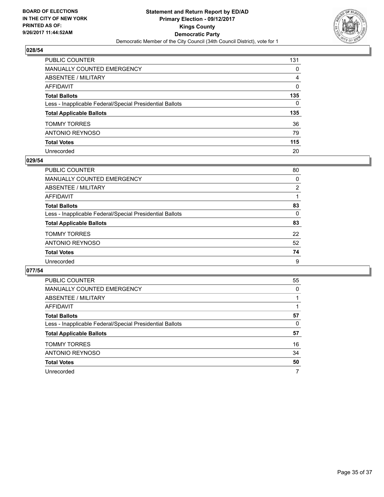

| PUBLIC COUNTER                                           | 131          |
|----------------------------------------------------------|--------------|
| MANUALLY COUNTED EMERGENCY                               | 0            |
| ABSENTEE / MILITARY                                      | 4            |
| AFFIDAVIT                                                | $\mathbf{0}$ |
| Total Ballots                                            | 135          |
| Less - Inapplicable Federal/Special Presidential Ballots | $\Omega$     |
| <b>Total Applicable Ballots</b>                          | 135          |
| TOMMY TORRES                                             | 36           |
| ANTONIO REYNOSO                                          | 79           |
| <b>Total Votes</b>                                       | 115          |
| Unrecorded                                               | 20           |

## **029/54**

| PUBLIC COUNTER                                           | 80             |
|----------------------------------------------------------|----------------|
| MANUALLY COUNTED EMERGENCY                               | 0              |
| ABSENTEE / MILITARY                                      | $\overline{2}$ |
| AFFIDAVIT                                                |                |
| <b>Total Ballots</b>                                     | 83             |
| Less - Inapplicable Federal/Special Presidential Ballots | 0              |
| <b>Total Applicable Ballots</b>                          | 83             |
| <b>TOMMY TORRES</b>                                      | 22             |
| ANTONIO REYNOSO                                          | 52             |
| <b>Total Votes</b>                                       | 74             |
| Unrecorded                                               | 9              |

| <b>PUBLIC COUNTER</b>                                    | 55 |
|----------------------------------------------------------|----|
| <b>MANUALLY COUNTED EMERGENCY</b>                        | 0  |
| ABSENTEE / MILITARY                                      |    |
| <b>AFFIDAVIT</b>                                         |    |
| <b>Total Ballots</b>                                     | 57 |
| Less - Inapplicable Federal/Special Presidential Ballots | 0  |
| <b>Total Applicable Ballots</b>                          | 57 |
| <b>TOMMY TORRES</b>                                      | 16 |
| <b>ANTONIO REYNOSO</b>                                   | 34 |
| <b>Total Votes</b>                                       | 50 |
| Unrecorded                                               |    |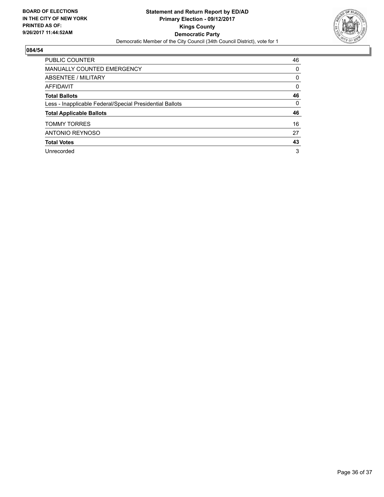

| <b>PUBLIC COUNTER</b>                                    | 46 |
|----------------------------------------------------------|----|
| <b>MANUALLY COUNTED EMERGENCY</b>                        | 0  |
| ABSENTEE / MILITARY                                      | 0  |
| AFFIDAVIT                                                | 0  |
| <b>Total Ballots</b>                                     | 46 |
| Less - Inapplicable Federal/Special Presidential Ballots | 0  |
| <b>Total Applicable Ballots</b>                          | 46 |
| <b>TOMMY TORRES</b>                                      | 16 |
| <b>ANTONIO REYNOSO</b>                                   | 27 |
| <b>Total Votes</b>                                       | 43 |
| Unrecorded                                               | 3  |